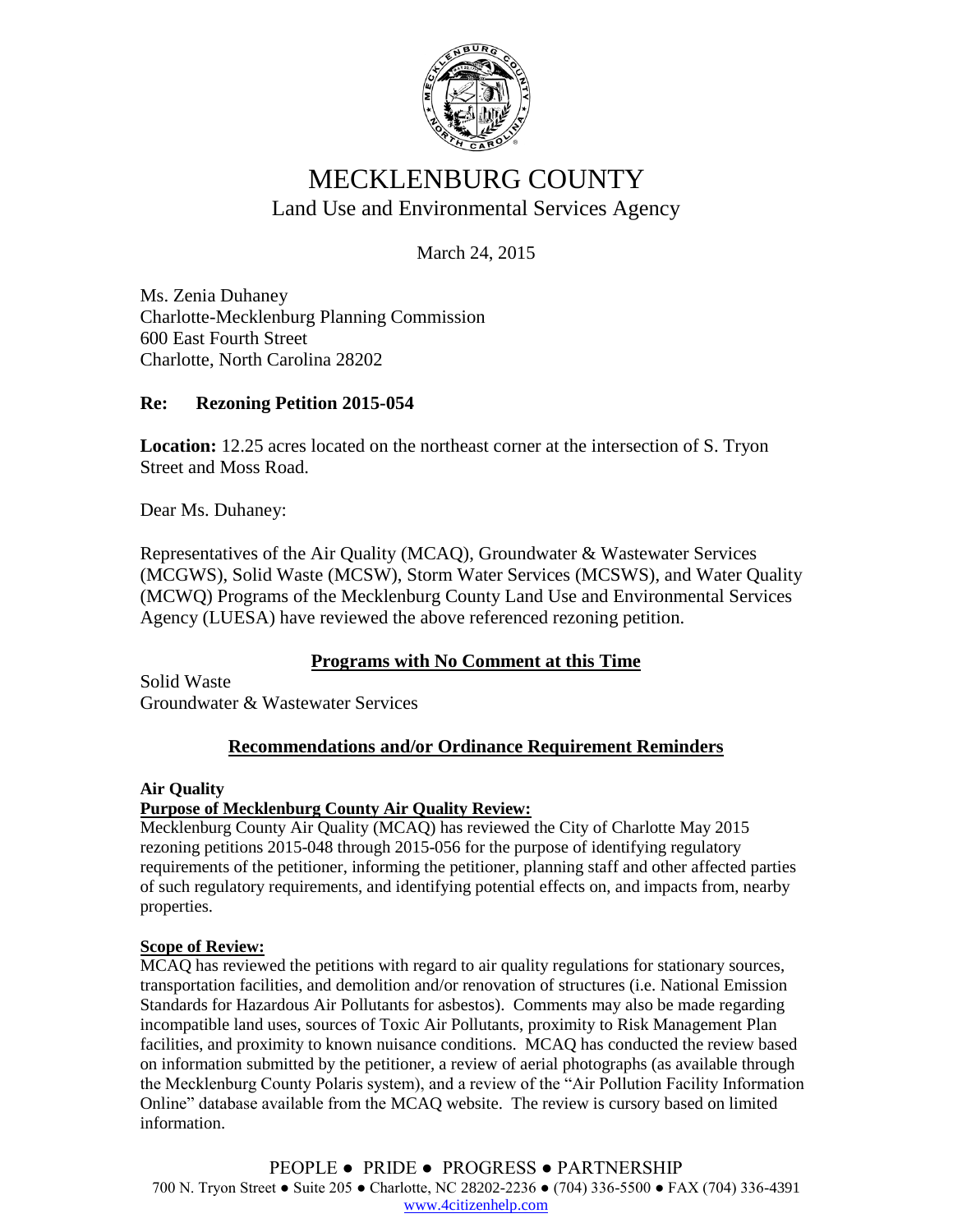

# MECKLENBURG COUNTY Land Use and Environmental Services Agency

March 24, 2015

Ms. Zenia Duhaney Charlotte-Mecklenburg Planning Commission 600 East Fourth Street Charlotte, North Carolina 28202

# **Re: Rezoning Petition 2015-054**

**Location:** 12.25 acres located on the northeast corner at the intersection of S. Tryon Street and Moss Road.

Dear Ms. Duhaney:

Representatives of the Air Quality (MCAQ), Groundwater & Wastewater Services (MCGWS), Solid Waste (MCSW), Storm Water Services (MCSWS), and Water Quality (MCWQ) Programs of the Mecklenburg County Land Use and Environmental Services Agency (LUESA) have reviewed the above referenced rezoning petition.

# **Programs with No Comment at this Time**

Solid Waste Groundwater & Wastewater Services

# **Recommendations and/or Ordinance Requirement Reminders**

### **Air Quality**

# **Purpose of Mecklenburg County Air Quality Review:**

Mecklenburg County Air Quality (MCAQ) has reviewed the City of Charlotte May 2015 rezoning petitions 2015-048 through 2015-056 for the purpose of identifying regulatory requirements of the petitioner, informing the petitioner, planning staff and other affected parties of such regulatory requirements, and identifying potential effects on, and impacts from, nearby properties.

### **Scope of Review:**

MCAQ has reviewed the petitions with regard to air quality regulations for stationary sources, transportation facilities, and demolition and/or renovation of structures (i.e. National Emission Standards for Hazardous Air Pollutants for asbestos). Comments may also be made regarding incompatible land uses, sources of Toxic Air Pollutants, proximity to Risk Management Plan facilities, and proximity to known nuisance conditions. MCAQ has conducted the review based on information submitted by the petitioner, a review of aerial photographs (as available through the Mecklenburg County Polaris system), and a review of the "Air Pollution Facility Information Online" database available from the MCAQ website. The review is cursory based on limited information.